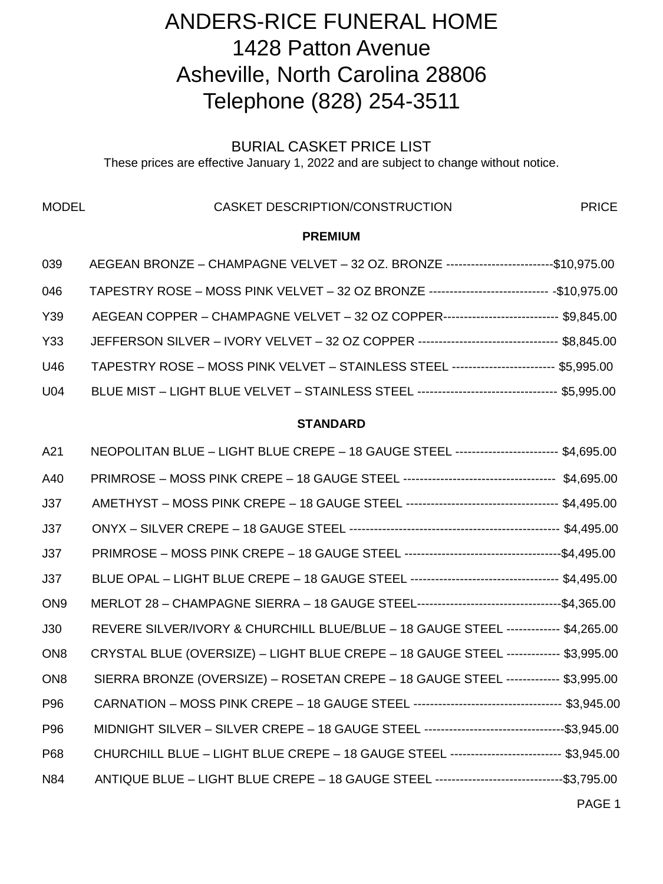# ANDERS-RICE FUNERAL HOME 1428 Patton Avenue Asheville, North Carolina 28806 Telephone (828) 254-3511

## BURIAL CASKET PRICE LIST

These prices are effective January 1, 2022 and are subject to change without notice.

#### MODEL **CASKET DESCRIPTION/CONSTRUCTION PRICE**

#### **PREMIUM**

| 039             | AEGEAN BRONZE - CHAMPAGNE VELVET - 32 OZ. BRONZE ---------------------------\$10,975.00      |  |
|-----------------|----------------------------------------------------------------------------------------------|--|
| 046             | TAPESTRY ROSE - MOSS PINK VELVET - 32 OZ BRONZE ----------------------------- - \$10,975.00  |  |
| Y39             | AEGEAN COPPER - CHAMPAGNE VELVET - 32 OZ COPPER----------------------------- \$9,845.00      |  |
| Y33             | JEFFERSON SILVER - IVORY VELVET - 32 OZ COPPER ---------------------------------- \$8,845.00 |  |
| U46             | TAPESTRY ROSE - MOSS PINK VELVET - STAINLESS STEEL ------------------------- \$5,995.00      |  |
| U <sub>04</sub> | BLUE MIST - LIGHT BLUE VELVET - STAINLESS STEEL --------------------------------- \$5,995.00 |  |

#### **STANDARD**

| A21             | NEOPOLITAN BLUE - LIGHT BLUE CREPE - 18 GAUGE STEEL ------------------------- \$4,695.00    |  |
|-----------------|---------------------------------------------------------------------------------------------|--|
| A40             |                                                                                             |  |
| J37             |                                                                                             |  |
| J37             |                                                                                             |  |
| J37             |                                                                                             |  |
| J37             |                                                                                             |  |
| ON <sub>9</sub> |                                                                                             |  |
| J30             | REVERE SILVER/IVORY & CHURCHILL BLUE/BLUE - 18 GAUGE STEEL ------------- \$4,265.00         |  |
| ON <sub>8</sub> | CRYSTAL BLUE (OVERSIZE) - LIGHT BLUE CREPE - 18 GAUGE STEEL ------------- \$3,995.00        |  |
| ON <sub>8</sub> | SIERRA BRONZE (OVERSIZE) - ROSETAN CREPE - 18 GAUGE STEEL ------------- \$3,995.00          |  |
| P96             |                                                                                             |  |
| P96             |                                                                                             |  |
| P68             | CHURCHILL BLUE - LIGHT BLUE CREPE - 18 GAUGE STEEL --------------------------- \$3,945.00   |  |
| N84             | ANTIQUE BLUE - LIGHT BLUE CREPE - 18 GAUGE STEEL --------------------------------\$3,795.00 |  |
|                 |                                                                                             |  |

PAGE 1